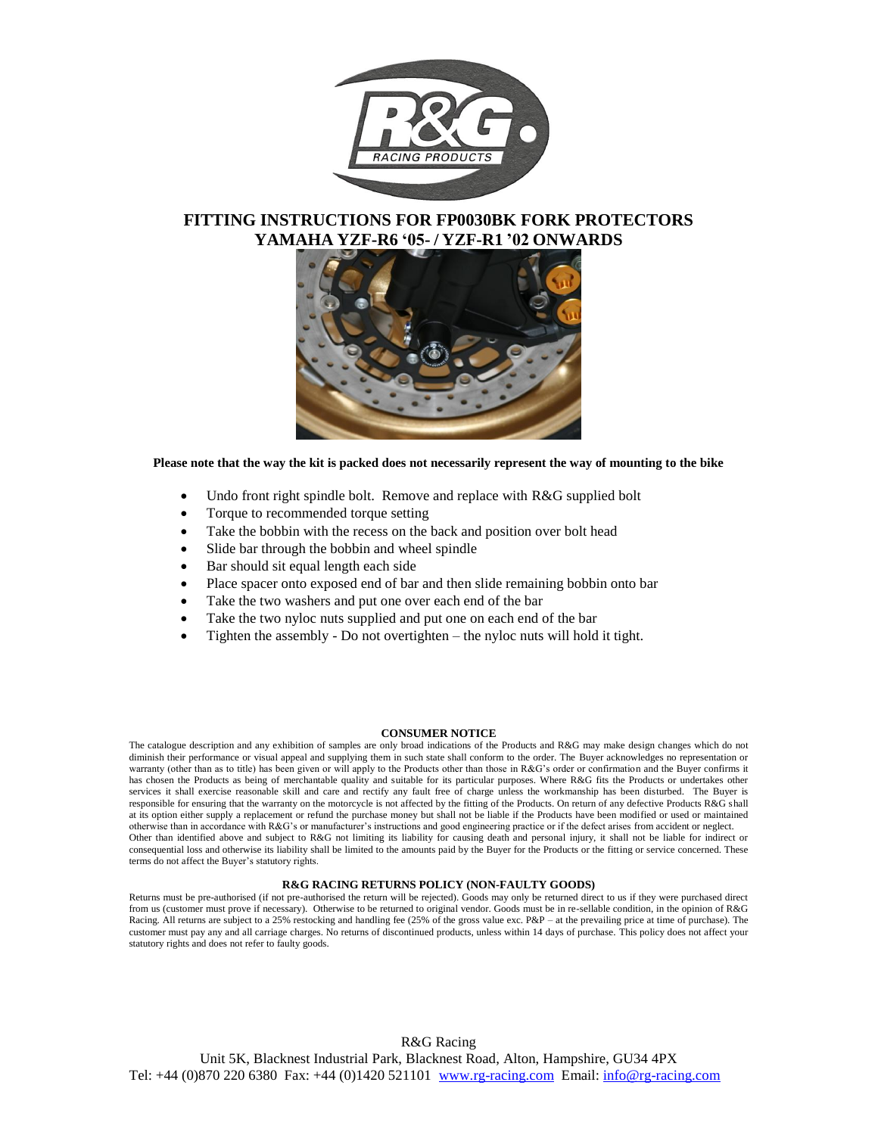

### **FITTING INSTRUCTIONS FOR FP0030BK FORK PROTECTORS YAMAHA YZF-R6 '05- / YZF-R1 '02 ONWARDS**



**Please note that the way the kit is packed does not necessarily represent the way of mounting to the bike**

- Undo front right spindle bolt. Remove and replace with R&G supplied bolt
- Torque to recommended torque setting
- Take the bobbin with the recess on the back and position over bolt head
- Slide bar through the bobbin and wheel spindle
- Bar should sit equal length each side
- Place spacer onto exposed end of bar and then slide remaining bobbin onto bar
- Take the two washers and put one over each end of the bar
- Take the two nyloc nuts supplied and put one on each end of the bar
- Tighten the assembly Do not overtighten the nyloc nuts will hold it tight.

#### **CONSUMER NOTICE**

The catalogue description and any exhibition of samples are only broad indications of the Products and R&G may make design changes which do not diminish their performance or visual appeal and supplying them in such state shall conform to the order. The Buyer acknowledges no representation or warranty (other than as to title) has been given or will apply to the Products other than those in R&G's order or confirmation and the Buyer confirms it has chosen the Products as being of merchantable quality and suitable for its particular purposes. Where R&G fits the Products or undertakes other services it shall exercise reasonable skill and care and rectify any fault free of charge unless the workmanship has been disturbed. The Buyer is responsible for ensuring that the warranty on the motorcycle is not affected by the fitting of the Products. On return of any defective Products R&G shall at its option either supply a replacement or refund the purchase money but shall not be liable if the Products have been modified or used or maintained otherwise than in accordance with R&G's or manufacturer's instructions and good engineering practice or if the defect arises from accident or neglect. Other than identified above and subject to R&G not limiting its liability for causing death and personal injury, it shall not be liable for indirect or consequential loss and otherwise its liability shall be limited to the amounts paid by the Buyer for the Products or the fitting or service concerned. These terms do not affect the Buyer's statutory rights.

#### **R&G RACING RETURNS POLICY (NON-FAULTY GOODS)**

Returns must be pre-authorised (if not pre-authorised the return will be rejected). Goods may only be returned direct to us if they were purchased direct from us (customer must prove if necessary). Otherwise to be returned to original vendor. Goods must be in re-sellable condition, in the opinion of R&G Racing. All returns are subject to a 25% restocking and handling fee (25% of the gross value exc. P&P – at the prevailing price at time of purchase). The customer must pay any and all carriage charges. No returns of discontinued products, unless within 14 days of purchase. This policy does not affect your statutory rights and does not refer to faulty goods.